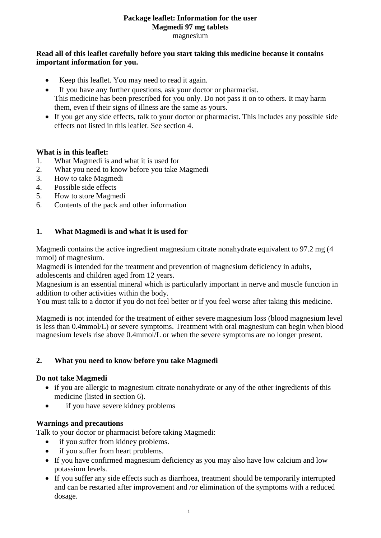### **Package leaflet: Information for the user Magmedi 97 mg tablets** magnesium

### **Read all of this leaflet carefully before you start taking this medicine because it contains important information for you.**

- Keep this leaflet. You may need to read it again.
- If you have any further questions, ask your doctor or pharmacist. This medicine has been prescribed for you only. Do not pass it on to others. It may harm them, even if their signs of illness are the same as yours.
- If you get any side effects, talk to your doctor or pharmacist. This includes any possible side effects not listed in this leaflet. See section 4.

### **What is in this leaflet:**

- 1. What Magmedi is and what it is used for
- 2. What you need to know before you take Magmedi
- 3. How to take Magmedi
- 4. Possible side effects
- 5. How to store Magmedi
- 6. Contents of the pack and other information

### **1. What Magmedi is and what it is used for**

Magmedi contains the active ingredient magnesium citrate nonahydrate equivalent to 97.2 mg (4 mmol) of magnesium.

Magmedi is intended for the treatment and prevention of magnesium deficiency in adults, adolescents and children aged from 12 years.

Magnesium is an essential mineral which is particularly important in nerve and muscle function in addition to other activities within the body.

You must talk to a doctor if you do not feel better or if you feel worse after taking this medicine.

Magmedi is not intended for the treatment of either severe magnesium loss (blood magnesium level is less than 0.4mmol/L) or severe symptoms. Treatment with oral magnesium can begin when blood magnesium levels rise above 0.4mmol/L or when the severe symptoms are no longer present.

# **2. What you need to know before you take Magmedi**

#### **Do not take Magmedi**

- if you are allergic to magnesium citrate nonahydrate or any of the other ingredients of this medicine (listed in section 6).
- if you have severe kidney problems

#### **Warnings and precautions**

Talk to your doctor or pharmacist before taking Magmedi:

- if you suffer from kidney problems.
- if you suffer from heart problems.
- If you have confirmed magnesium deficiency as you may also have low calcium and low potassium levels.
- If you suffer any side effects such as diarrhoea, treatment should be temporarily interrupted and can be restarted after improvement and /or elimination of the symptoms with a reduced dosage.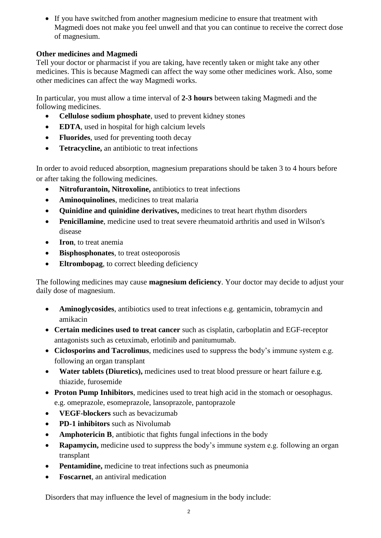If you have switched from another magnesium medicine to ensure that treatment with Magmedi does not make you feel unwell and that you can continue to receive the correct dose of magnesium.

# **Other medicines and Magmedi**

Tell your doctor or pharmacist if you are taking, have recently taken or might take any other medicines. This is because Magmedi can affect the way some other medicines work. Also, some other medicines can affect the way Magmedi works.

In particular, you must allow a time interval of **2-3 hours** between taking Magmedi and the following medicines.

- **Cellulose sodium phosphate**, used to prevent kidney stones
- **EDTA**, used in hospital for high calcium levels
- **Fluorides**, used for preventing tooth decay
- **Tetracycline, an antibiotic to treat infections**

In order to avoid reduced absorption, magnesium preparations should be taken 3 to 4 hours before or after taking the following medicines.

- **Nitrofurantoin, Nitroxoline,** antibiotics to treat infections
- **Aminoquinolines**, medicines to treat malaria
- **Quinidine and quinidine derivatives,** medicines to treat heart rhythm disorders
- **Penicillamine**, medicine used to treat severe rheumatoid arthritis and used in Wilson's disease
- **Iron**, to treat anemia
- **Bisphosphonates**, to treat osteoporosis
- **Eltrombopag**, to correct bleeding deficiency

The following medicines may cause **magnesium deficiency**. Your doctor may decide to adjust your daily dose of magnesium.

- **Aminoglycosides**, antibiotics used to treat infections e.g. gentamicin, tobramycin and amikacin
- **Certain medicines used to treat cancer** such as cisplatin, carboplatin and EGF-receptor antagonists such as cetuximab, erlotinib and panitumumab.
- **Ciclosporins and Tacrolimus**, medicines used to suppress the body's immune system e.g. following an organ transplant
- **Water tablets (Diuretics),** medicines used to treat blood pressure or heart failure e.g. thiazide, furosemide
- Proton Pump Inhibitors, medicines used to treat high acid in the stomach or oesophagus. e.g. omeprazole, esomeprazole, lansoprazole, pantoprazole
- **VEGF-blockers** such as bevacizumab
- **PD-1 inhibitors** such as Nivolumab
- **Amphotericin B**, antibiotic that fights fungal infections in the body
- **Rapamycin,** medicine used to suppress the body's immune system e.g. following an organ transplant
- **Pentamidine,** medicine to treat infections such as pneumonia
- **Foscarnet**, an antiviral medication

Disorders that may influence the level of magnesium in the body include: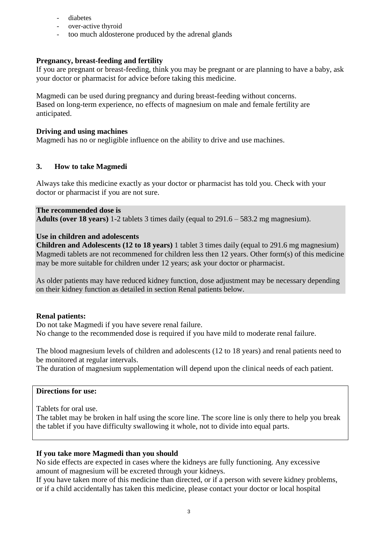- diabetes
- over-active thyroid
- too much aldosterone produced by the adrenal glands

#### **Pregnancy, breast-feeding and fertility**

If you are pregnant or breast-feeding, think you may be pregnant or are planning to have a baby, ask your doctor or pharmacist for advice before taking this medicine.

Magmedi can be used during pregnancy and during breast-feeding without concerns. Based on long-term experience, no effects of magnesium on male and female fertility are anticipated.

#### **Driving and using machines**

Magmedi has no or negligible influence on the ability to drive and use machines.

#### **3. How to take Magmedi**

Always take this medicine exactly as your doctor or pharmacist has told you. Check with your doctor or pharmacist if you are not sure.

**The recommended dose is Adults (over 18 years)** 1-2 tablets 3 times daily (equal to 291.6 – 583.2 mg magnesium).

#### **Use in children and adolescents**

**Children and Adolescents (12 to 18 years)** 1 tablet 3 times daily (equal to 291.6 mg magnesium) Magmedi tablets are not recommened for children less then 12 years. Other form(s) of this medicine may be more suitable for children under 12 years; ask your doctor or pharmacist.

As older patients may have reduced kidney function, dose adjustment may be necessary depending on their kidney function as detailed in section Renal patients below.

#### **Renal patients:**

Do not take Magmedi if you have severe renal failure. No change to the recommended dose is required if you have mild to moderate renal failure.

The blood magnesium levels of children and adolescents (12 to 18 years) and renal patients need to be monitored at regular intervals.

The duration of magnesium supplementation will depend upon the clinical needs of each patient.

### **Directions for use:**

Tablets for oral use.

The tablet may be broken in half using the score line. The score line is only there to help you break the tablet if you have difficulty swallowing it whole, not to divide into equal parts.

#### **If you take more Magmedi than you should**

No side effects are expected in cases where the kidneys are fully functioning. Any excessive amount of magnesium will be excreted through your kidneys.

If you have taken more of this medicine than directed, or if a person with severe kidney problems, or if a child accidentally has taken this medicine, please contact your doctor or local hospital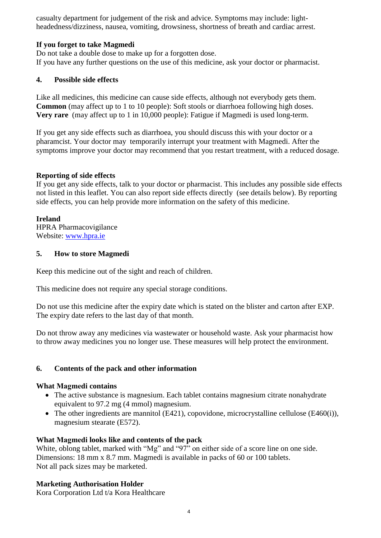casualty department for judgement of the risk and advice. Symptoms may include: lightheadedness/dizziness, nausea, vomiting, drowsiness, shortness of breath and cardiac arrest.

# **If you forget to take Magmedi**

Do not take a double dose to make up for a forgotten dose. If you have any further questions on the use of this medicine, ask your doctor or pharmacist.

# **4. Possible side effects**

Like all medicines, this medicine can cause side effects, although not everybody gets them. **Common** (may affect up to 1 to 10 people): Soft stools or diarrhoea following high doses. **Very rare** (may affect up to 1 in 10,000 people): Fatigue if Magmedi is used long-term.

If you get any side effects such as diarrhoea, you should discuss this with your doctor or a pharamcist. Your doctor may temporarily interrupt your treatment with Magmedi. After the symptoms improve your doctor may recommend that you restart treatment, with a reduced dosage.

# **Reporting of side effects**

If you get any side effects, talk to your doctor or pharmacist. This includes any possible side effects not listed in this leaflet. You can also report side effects directly (see details below). By reporting side effects, you can help provide more information on the safety of this medicine.

# **Ireland**

HPRA Pharmacovigilance Website: [www.hpra.ie](http://www.hpra.ie/)

# **5. How to store Magmedi**

Keep this medicine out of the sight and reach of children.

This medicine does not require any special storage conditions.

Do not use this medicine after the expiry date which is stated on the blister and carton after EXP. The expiry date refers to the last day of that month.

Do not throw away any medicines via wastewater or household waste. Ask your pharmacist how to throw away medicines you no longer use. These measures will help protect the environment.

# **6. Contents of the pack and other information**

# **What Magmedi contains**

- The active substance is magnesium. Each tablet contains magnesium citrate nonahydrate equivalent to 97.2 mg (4 mmol) magnesium.
- The other ingredients are mannitol (E421), copovidone, microcrystalline cellulose (E460(i)), magnesium stearate (E572).

# **What Magmedi looks like and contents of the pack**

White, oblong tablet, marked with "Mg" and "97" on either side of a score line on one side. Dimensions: 18 mm x 8.7 mm. Magmedi is available in packs of 60 or 100 tablets. Not all pack sizes may be marketed.

# **Marketing Authorisation Holder**

Kora Corporation Ltd t/a Kora Healthcare